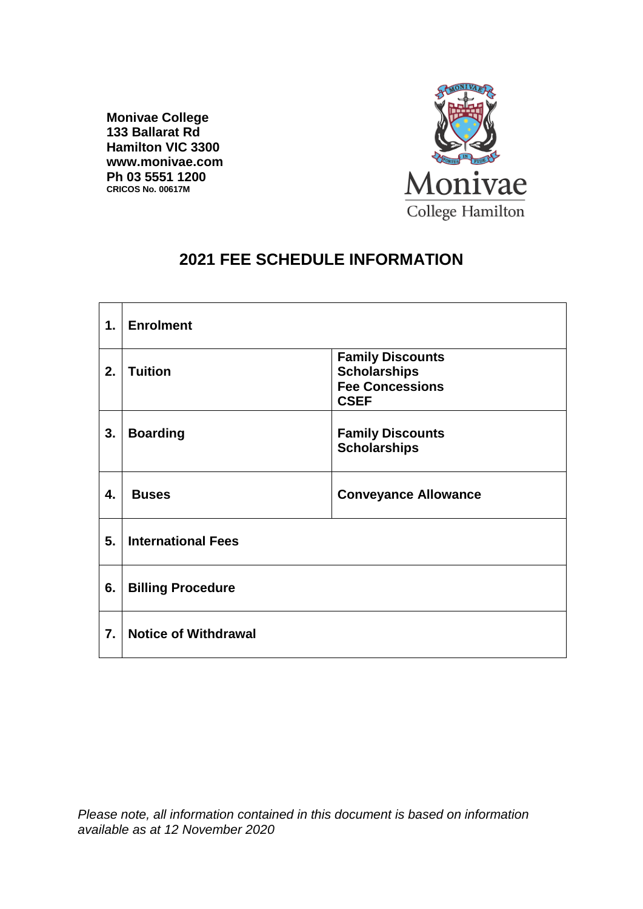**Monivae College 133 Ballarat Rd Hamilton VIC 3300 www.monivae.com Ph 03 5551 1200 CRICOS No. 00617M**



# **2021 FEE SCHEDULE INFORMATION**

| $\mathbf 1$ . | <b>Enrolment</b>            |                                                                                         |
|---------------|-----------------------------|-----------------------------------------------------------------------------------------|
| 2.            | <b>Tuition</b>              | <b>Family Discounts</b><br><b>Scholarships</b><br><b>Fee Concessions</b><br><b>CSEF</b> |
| 3.            | <b>Boarding</b>             | <b>Family Discounts</b><br><b>Scholarships</b>                                          |
| 4.            | <b>Buses</b>                | <b>Conveyance Allowance</b>                                                             |
| 5.            | <b>International Fees</b>   |                                                                                         |
| 6.            | <b>Billing Procedure</b>    |                                                                                         |
| 7.            | <b>Notice of Withdrawal</b> |                                                                                         |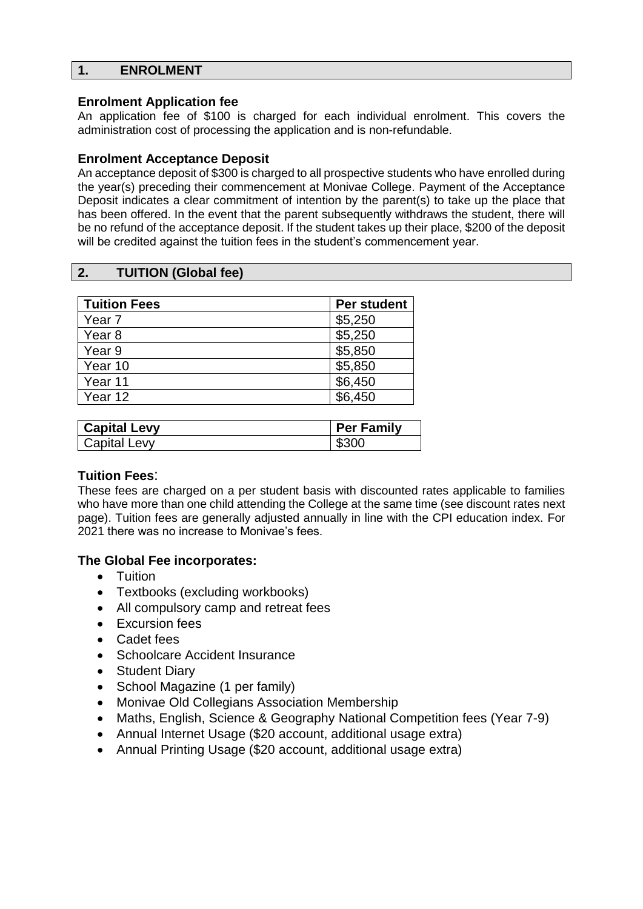# **1. ENROLMENT**

## **Enrolment Application fee**

An application fee of \$100 is charged for each individual enrolment. This covers the administration cost of processing the application and is non-refundable.

## **Enrolment Acceptance Deposit**

An acceptance deposit of \$300 is charged to all prospective students who have enrolled during the year(s) preceding their commencement at Monivae College. Payment of the Acceptance Deposit indicates a clear commitment of intention by the parent(s) to take up the place that has been offered. In the event that the parent subsequently withdraws the student, there will be no refund of the acceptance deposit. If the student takes up their place, \$200 of the deposit will be credited against the tuition fees in the student's commencement year.

# **2. TUITION (Global fee)**

| <b>Tuition Fees</b> | <b>Per student</b> |
|---------------------|--------------------|
| Year <sub>7</sub>   | \$5,250            |
| Year <sub>8</sub>   | \$5,250            |
| Year 9              | \$5,850            |
| Year 10             | \$5,850            |
| Year 11             | \$6,450            |
| Year 12             | \$6,450            |

| <b>Capital Levy</b> | <b>Per Family</b> |
|---------------------|-------------------|
| Capital Levy        | \$300             |

#### **Tuition Fees**:

These fees are charged on a per student basis with discounted rates applicable to families who have more than one child attending the College at the same time (see discount rates next page). Tuition fees are generally adjusted annually in line with the CPI education index. For 2021 there was no increase to Monivae's fees.

# **The Global Fee incorporates:**

- Tuition
- Textbooks (excluding workbooks)
- All compulsory camp and retreat fees
- Excursion fees
- Cadet fees
- Schoolcare Accident Insurance
- Student Diary
- School Magazine (1 per family)
- Monivae Old Collegians Association Membership
- Maths, English, Science & Geography National Competition fees (Year 7-9)
- Annual Internet Usage (\$20 account, additional usage extra)
- Annual Printing Usage (\$20 account, additional usage extra)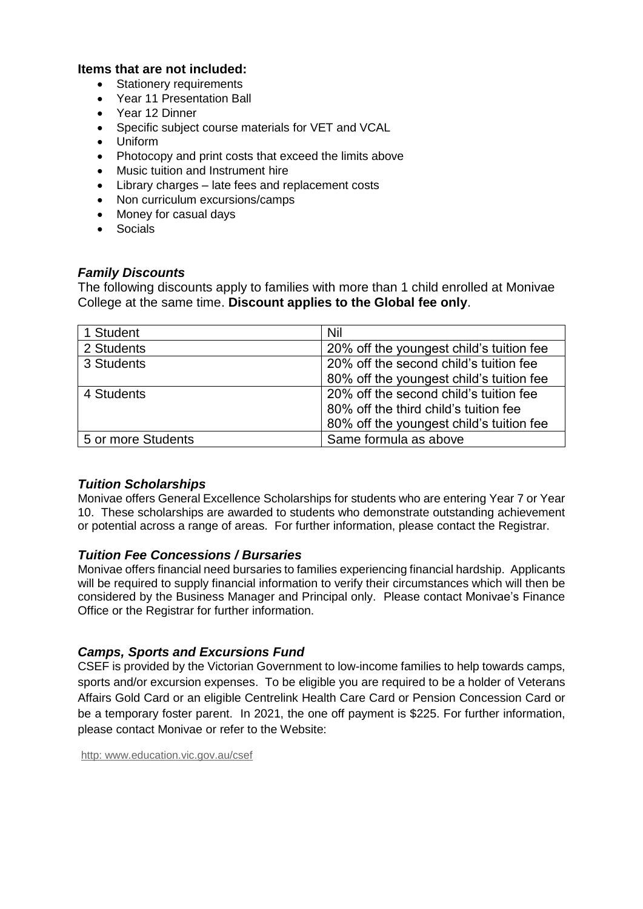### **Items that are not included:**

- **Stationery requirements**
- Year 11 Presentation Ball
- Year 12 Dinner
- Specific subject course materials for VET and VCAL
- Uniform
- Photocopy and print costs that exceed the limits above
- Music tuition and Instrument hire
- Library charges late fees and replacement costs
- Non curriculum excursions/camps
- Money for casual days
- **Socials**

### *Family Discounts*

The following discounts apply to families with more than 1 child enrolled at Monivae College at the same time. **Discount applies to the Global fee only**.

| 1 Student          | Nil                                      |
|--------------------|------------------------------------------|
| 2 Students         | 20% off the youngest child's tuition fee |
| 3 Students         | 20% off the second child's tuition fee   |
|                    | 80% off the youngest child's tuition fee |
| 4 Students         | 20% off the second child's tuition fee   |
|                    | 80% off the third child's tuition fee    |
|                    | 80% off the youngest child's tuition fee |
| 5 or more Students | Same formula as above                    |

# *Tuition Scholarships*

Monivae offers General Excellence Scholarships for students who are entering Year 7 or Year 10. These scholarships are awarded to students who demonstrate outstanding achievement or potential across a range of areas. For further information, please contact the Registrar.

#### *Tuition Fee Concessions / Bursaries*

Monivae offers financial need bursaries to families experiencing financial hardship. Applicants will be required to supply financial information to verify their circumstances which will then be considered by the Business Manager and Principal only. Please contact Monivae's Finance Office or the Registrar for further information.

# *Camps, Sports and Excursions Fund*

CSEF is provided by the Victorian Government to low-income families to help towards camps, sports and/or excursion expenses. To be eligible you are required to be a holder of Veterans Affairs Gold Card or an eligible Centrelink Health Care Card or Pension Concession Card or be a temporary foster parent. In 2021, the one off payment is \$225. For further information, please contact Monivae or refer to the Website:

[http:](http://http/) [www.education.vic.gov.au/csef](http://www.education.vic.gov.au/csef)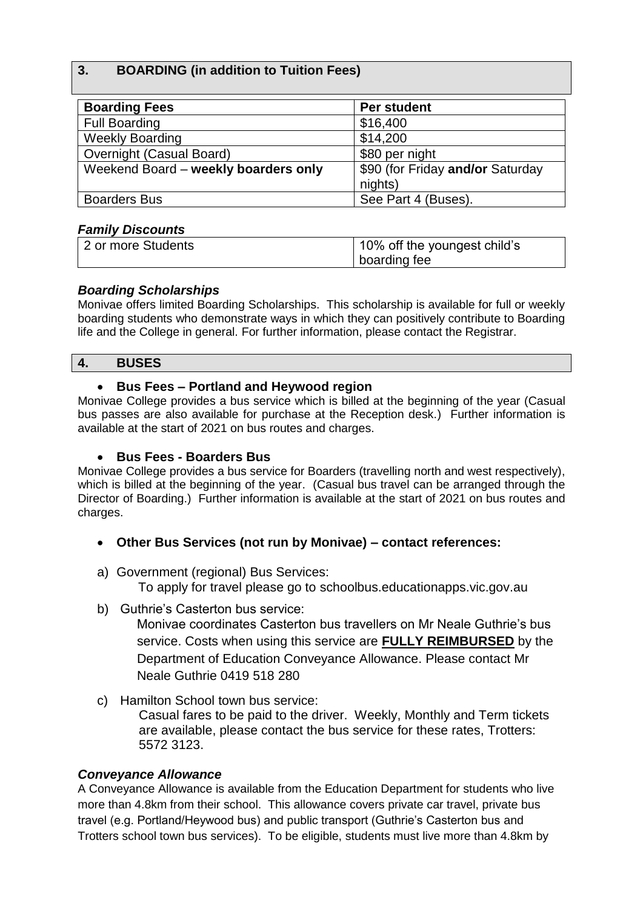# **3. BOARDING (in addition to Tuition Fees)**

| <b>Boarding Fees</b>                 | Per student                      |
|--------------------------------------|----------------------------------|
| <b>Full Boarding</b>                 | \$16,400                         |
| <b>Weekly Boarding</b>               | \$14,200                         |
| Overnight (Casual Board)             | \$80 per night                   |
| Weekend Board - weekly boarders only | \$90 (for Friday and/or Saturday |
|                                      | nights)                          |
| <b>Boarders Bus</b>                  | See Part 4 (Buses).              |

# *Family Discounts*

| 2 or more Students | 10% off the youngest child's |
|--------------------|------------------------------|
|                    | boarding fee                 |

# *Boarding Scholarships*

Monivae offers limited Boarding Scholarships. This scholarship is available for full or weekly boarding students who demonstrate ways in which they can positively contribute to Boarding life and the College in general. For further information, please contact the Registrar.

# **4. BUSES**

# • **Bus Fees – Portland and Heywood region**

Monivae College provides a bus service which is billed at the beginning of the year (Casual bus passes are also available for purchase at the Reception desk.) Further information is available at the start of 2021 on bus routes and charges.

# • **Bus Fees - Boarders Bus**

Monivae College provides a bus service for Boarders (travelling north and west respectively), which is billed at the beginning of the year. (Casual bus travel can be arranged through the Director of Boarding.) Further information is available at the start of 2021 on bus routes and charges.

- **Other Bus Services (not run by Monivae) – contact references:**
- a) Government (regional) Bus Services:

To apply for travel please go to schoolbus.educationapps.vic.gov.au

b) Guthrie's Casterton bus service:

Monivae coordinates Casterton bus travellers on Mr Neale Guthrie's bus service. Costs when using this service are **FULLY REIMBURSED** by the Department of Education Conveyance Allowance. Please contact Mr Neale Guthrie 0419 518 280

c) Hamilton School town bus service:

Casual fares to be paid to the driver. Weekly, Monthly and Term tickets are available, please contact the bus service for these rates, Trotters: 5572 3123.

# *Conveyance Allowance*

A Conveyance Allowance is available from the Education Department for students who live more than 4.8km from their school. This allowance covers private car travel, private bus travel (e.g. Portland/Heywood bus) and public transport (Guthrie's Casterton bus and Trotters school town bus services). To be eligible, students must live more than 4.8km by